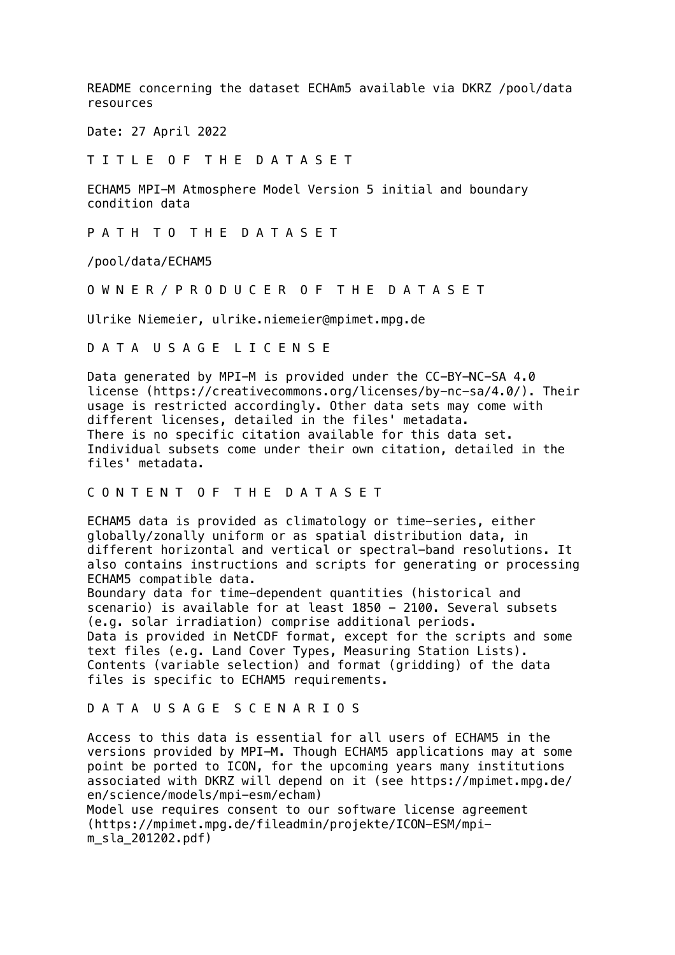README concerning the dataset ECHAm5 available via DKRZ /pool/data resources

Date: 27 April 2022

T I T L E O F T H E D A T A S E T

ECHAM5 MPI-M Atmosphere Model Version 5 initial and boundary condition data

P A T H T O T H E D A T A S E T

/pool/data/ECHAM5

O W N E R / P R O D U C E R O F T H E D A T A S E T

Ulrike Niemeier, ulrike.niemeier@mpimet.mpg.de

D A T A U S A G E L I C E N S E

Data generated by MPI-M is provided under the CC-BY-NC-SA 4.0 license (https://creativecommons.org/licenses/by-nc-sa/4.0/). Their usage is restricted accordingly. Other data sets may come with different licenses, detailed in the files' metadata. There is no specific citation available for this data set. Individual subsets come under their own citation, detailed in the files' metadata.

## C O N T E N T O F T H E D A T A S E T

ECHAM5 data is provided as climatology or time-series, either globally/zonally uniform or as spatial distribution data, in different horizontal and vertical or spectral-band resolutions. It also contains instructions and scripts for generating or processing ECHAM5 compatible data.

Boundary data for time-dependent quantities (historical and scenario) is available for at least 1850 - 2100. Several subsets (e.g. solar irradiation) comprise additional periods. Data is provided in NetCDF format, except for the scripts and some text files (e.g. Land Cover Types, Measuring Station Lists). Contents (variable selection) and format (gridding) of the data files is specific to ECHAM5 requirements.

## D A T A U S A G E S C E N A R I O S

Access to this data is essential for all users of ECHAM5 in the versions provided by MPI-M. Though ECHAM5 applications may at some point be ported to ICON, for the upcoming years many institutions associated with DKRZ will depend on it (see https://mpimet.mpg.de/ en/science/models/mpi-esm/echam)

Model use requires consent to our software license agreement (https://mpimet.mpg.de/fileadmin/projekte/ICON-ESM/mpim\_sla\_201202.pdf)